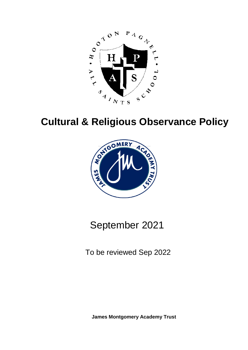

# **Cultural & Religious Observance Policy**



## September 2021

To be reviewed Sep 2022

**James Montgomery Academy Trust**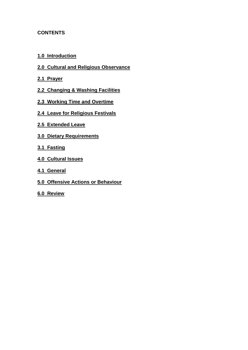## **CONTENTS**

- **[1.0 Introduction](#page-2-0)**
- **[2.0 Cultural and Religious Observance](#page-3-0)**
- **[2.1 Prayer](#page-3-1)**
- **[2.2 Changing & Washing Facilities](#page-3-2)**
- **[2.3 Working Time and Overtime](#page-3-3)**
- **[2.4 Leave for Religious Festivals](#page-3-4)**
- **[2.5 Extended Leave](#page-4-0)**
- **[3.0 Dietary Requirements](#page-4-1)**
- **[3.1 Fasting](#page-4-2)**
- **[4.0 Cultural Issues](#page-4-3)**
- **[4.1 General](#page-4-4)**
- **[5.0 Offensive Actions or Behaviour](#page-5-0)**
- **[6.0 Review](#page-5-1)**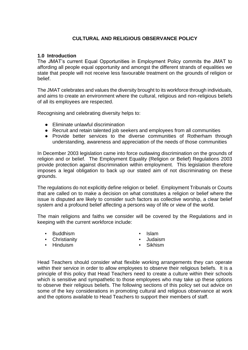## **CULTURAL AND RELIGIOUS OBSERVANCE POLICY**

### <span id="page-2-0"></span>**1.0 Introduction**

The JMAT's current Equal Opportunities in Employment Policy commits the JMAT to affording all people equal opportunity and amongst the different strands of equalities we state that people will not receive less favourable treatment on the grounds of religion or belief.

The JMAT celebrates and values the diversity brought to its workforce through individuals, and aims to create an environment where the cultural, religious and non-religious beliefs of all its employees are respected.

Recognising and celebrating diversity helps to:

- Eliminate unlawful discrimination
- Recruit and retain talented job seekers and employees from all communities
- Provide better services to the diverse communities of Rotherham through understanding, awareness and appreciation of the needs of those communities

In December 2003 legislation came into force outlawing discrimination on the grounds of religion and or belief. The Employment Equality (Religion or Belief) Regulations 2003 provide protection against discrimination within employment. This legislation therefore imposes a legal obligation to back up our stated aim of not discriminating on these grounds.

The regulations do not explicitly define religion or belief. Employment Tribunals or Courts that are called on to make a decision on what constitutes a religion or belief where the issue is disputed are likely to consider such factors as collective worship, a clear belief system and a profound belief affecting a persons way of life or view of the world.

The main religions and faiths we consider will be covered by the Regulations and in keeping with the current workforce include:

**Buddhism** 

▪ Islam

▪ Christianity

- Judaism
- Sikhism
- **•** Hinduism
- Head Teachers should consider what flexible working arrangements they can operate within their service in order to allow employees to observe their religious beliefs. It is a principle of this policy that Head Teachers need to create a culture within their schools which is sensitive and sympathetic to those employees who may take up these options to observe their religious beliefs. The following sections of this policy set out advice on some of the key considerations in promoting cultural and religious observance at work and the options available to Head Teachers to support their members of staff.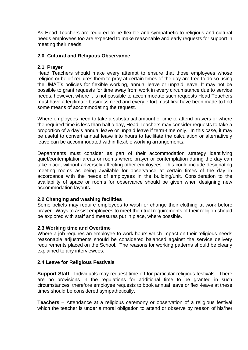As Head Teachers are required to be flexible and sympathetic to religious and cultural needs employees too are expected to make reasonable and early requests for support in meeting their needs.

## <span id="page-3-0"></span>**2.0 Cultural and Religious Observance**

## <span id="page-3-1"></span>**2.1 Prayer**

Head Teachers should make every attempt to ensure that those employees whose religion or belief requires them to pray at certain times of the day are free to do so using the JMAT's policies for flexible working, annual leave or unpaid leave. It may not be possible to grant requests for time away from work in every circumstance due to service needs, however, where it is not possible to accommodate such requests Head Teachers must have a legitimate business need and every effort must first have been made to find some means of accommodating the request.

Where employees need to take a substantial amount of time to attend prayers or where the required time is less than half a day, Head Teachers may consider requests to take a proportion of a day's annual leave or unpaid leave if term-time only. In this case, it may be useful to convert annual leave into hours to facilitate the calculation or alternatively leave can be accommodated within flexible working arrangements.

Departments must consider as part of their accommodation strategy identifying quiet/contemplation areas or rooms where prayer or contemplation during the day can take place, without adversely affecting other employees. This could include designating meeting rooms as being available for observance at certain times of the day in accordance with the needs of employees in the building/unit. Consideration to the availability of space or rooms for observance should be given when designing new accommodation layouts.

## <span id="page-3-2"></span>**2.2 Changing and washing facilities**

Some beliefs may require employees to wash or change their clothing at work before prayer. Ways to assist employees to meet the ritual requirements of their religion should be explored with staff and measures put in place, where possible.

#### <span id="page-3-3"></span>**2.3 Working time and Overtime**

<span id="page-3-4"></span>Where a job requires an employee to work hours which impact on their religious needs reasonable adjustments should be considered balanced against the service delivery requirements placed on the School. The reasons for working patterns should be clearly explained to any interviewees.

#### **2.4 Leave for Religious Festivals**

**Support Staff** - Individuals may request time off for particular religious festivals. There are no provisions in the regulations for additional time to be granted in such circumstances, therefore employee requests to book annual leave or flexi-leave at these times should be considered sympathetically.

**Teachers** – Attendance at a religious ceremony or observation of a religious festival which the teacher is under a moral obligation to attend or observe by reason of his/her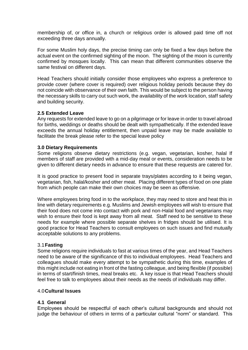membership of, or office in, a church or religious order is allowed paid time off not exceeding three days annually.

For some Muslim holy days, the precise timing can only be fixed a few days before the actual event on the confirmed sighting of the moon. The sighting of the moon is currently confirmed by mosques locally. This can mean that different communities observe the same festival on different days.

Head Teachers should initially consider those employees who express a preference to provide cover (where cover is required) over religious holiday periods because they do not coincide with observance of their own faith. This would be subject to the person having the necessary skills to carry out such work, the availability of the work location, staff safety and building security.

## <span id="page-4-0"></span>**2.5 Extended Leave**

<span id="page-4-1"></span>Any requests for extended leave to go on a pilgrimage or for leave in order to travel abroad for births, weddings or deaths should be dealt with sympathetically. If the extended leave exceeds the annual holiday entitlement, then unpaid leave may be made available to facilitate the break please refer to the special leave policy

#### **3.0 Dietary Requirements**

Some religions observe dietary restrictions (e.g. vegan, vegetarian, kosher, halal If members of staff are provided with a mid-day meal or events, consideration needs to be given to different dietary needs in advance to ensure that these requests are catered for.

It is good practice to present food in separate trays/plates according to it being vegan, vegetarian, fish, halal/kosher and other meat. Placing different types of food on one plate from which people can make their own choices may be seen as offensive.

Where employees bring food in to the workplace, they may need to store and heat this in line with dietary requirements e.g. Muslims and Jewish employees will wish to ensure that their food does not come into contact with pork and non-Halal food and vegetarians may wish to ensure their food is kept away from all meat. Staff need to be sensitive to these needs for example where possible separate shelves in fridges should be utilised. It is good practice for Head Teachers to consult employees on such issues and find mutually acceptable solutions to any problems.

#### <span id="page-4-2"></span>3.1**Fasting**

Some religions require individuals to fast at various times of the year, and Head Teachers need to be aware of the significance of this to individual employees. Head Teachers and colleagues should make every attempt to be sympathetic during this time, examples of this might include not eating in front of the fasting colleague, and being flexible (if possible) in terms of start/finish times, meal breaks etc. A key issue is that Head Teachers should feel free to talk to employees about their needs as the needs of individuals may differ.

#### <span id="page-4-4"></span><span id="page-4-3"></span>4.0**Cultural Issues**

#### **4.1 General**

Employees should be respectful of each other's cultural backgrounds and should not judge the behaviour of others in terms of a particular cultural "norm" or standard. This